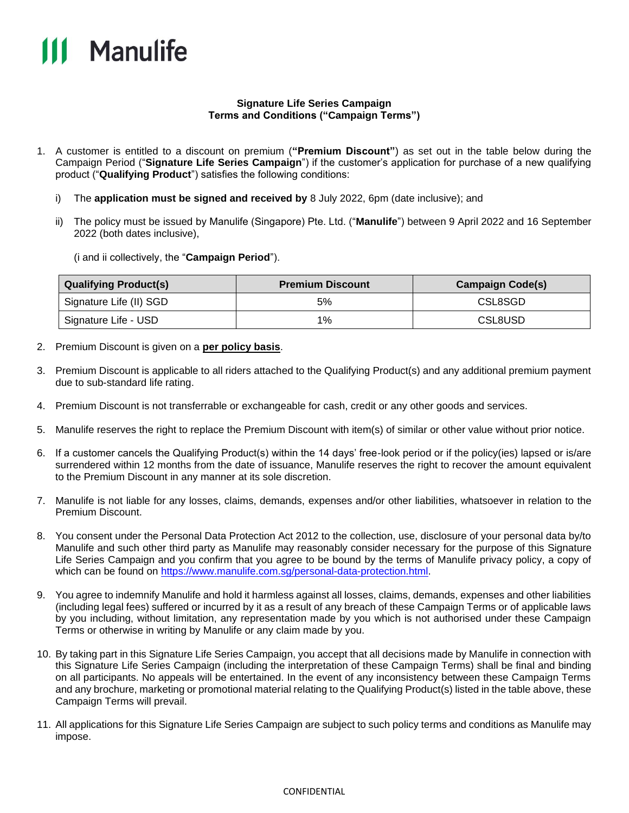

## **Signature Life Series Campaign Terms and Conditions ("Campaign Terms")**

- 1. A customer is entitled to a discount on premium (**"Premium Discount"**) as set out in the table below during the Campaign Period ("**Signature Life Series Campaign**") if the customer's application for purchase of a new qualifying product ("**Qualifying Product**") satisfies the following conditions:
	- i) The **application must be signed and received by** 8 July 2022, 6pm (date inclusive); and
	- ii) The policy must be issued by Manulife (Singapore) Pte. Ltd. ("**Manulife**") between 9 April 2022 and 16 September 2022 (both dates inclusive),

(i and ii collectively, the "**Campaign Period**").

| <b>Qualifying Product(s)</b> | <b>Premium Discount</b> | <b>Campaign Code(s)</b> |
|------------------------------|-------------------------|-------------------------|
| Signature Life (II) SGD      | 5%                      | CSL8SGD                 |
| Signature Life - USD         | 1%                      | CSL8USD                 |

- 2. Premium Discount is given on a **per policy basis**.
- 3. Premium Discount is applicable to all riders attached to the Qualifying Product(s) and any additional premium payment due to sub-standard life rating.
- 4. Premium Discount is not transferrable or exchangeable for cash, credit or any other goods and services.
- 5. Manulife reserves the right to replace the Premium Discount with item(s) of similar or other value without prior notice.
- 6. If a customer cancels the Qualifying Product(s) within the 14 days' free-look period or if the policy(ies) lapsed or is/are surrendered within 12 months from the date of issuance, Manulife reserves the right to recover the amount equivalent to the Premium Discount in any manner at its sole discretion.
- 7. Manulife is not liable for any losses, claims, demands, expenses and/or other liabilities, whatsoever in relation to the Premium Discount.
- 8. You consent under the Personal Data Protection Act 2012 to the collection, use, disclosure of your personal data by/to Manulife and such other third party as Manulife may reasonably consider necessary for the purpose of this Signature Life Series Campaign and you confirm that you agree to be bound by the terms of Manulife privacy policy, a copy of which can be found on [https://www.manulife.com.sg/personal-data-protection.html.](https://www.manulife.com.sg/personal-data-protection.html)
- 9. You agree to indemnify Manulife and hold it harmless against all losses, claims, demands, expenses and other liabilities (including legal fees) suffered or incurred by it as a result of any breach of these Campaign Terms or of applicable laws by you including, without limitation, any representation made by you which is not authorised under these Campaign Terms or otherwise in writing by Manulife or any claim made by you.
- 10. By taking part in this Signature Life Series Campaign, you accept that all decisions made by Manulife in connection with this Signature Life Series Campaign (including the interpretation of these Campaign Terms) shall be final and binding on all participants. No appeals will be entertained. In the event of any inconsistency between these Campaign Terms and any brochure, marketing or promotional material relating to the Qualifying Product(s) listed in the table above, these Campaign Terms will prevail.
- 11. All applications for this Signature Life Series Campaign are subject to such policy terms and conditions as Manulife may impose.

## CONFIDENTIAL